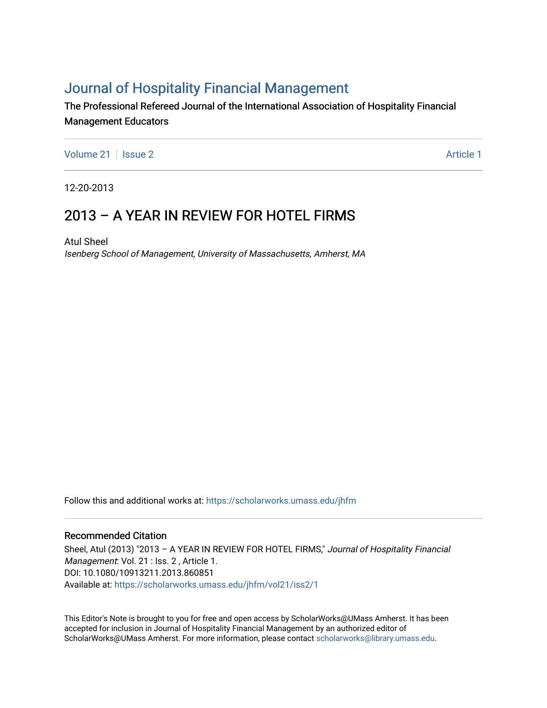# [Journal of Hospitality Financial Management](https://scholarworks.umass.edu/jhfm)

The Professional Refereed Journal of the International Association of Hospitality Financial Management Educators

[Volume 21](https://scholarworks.umass.edu/jhfm/vol21) | [Issue 2](https://scholarworks.umass.edu/jhfm/vol21/iss2) Article 1

12-20-2013

## 2013 – A YEAR IN REVIEW FOR HOTEL FIRMS

Atul Sheel Isenberg School of Management, University of Massachusetts, Amherst, MA

Follow this and additional works at: [https://scholarworks.umass.edu/jhfm](https://scholarworks.umass.edu/jhfm?utm_source=scholarworks.umass.edu%2Fjhfm%2Fvol21%2Fiss2%2F1&utm_medium=PDF&utm_campaign=PDFCoverPages) 

#### Recommended Citation

Sheel, Atul (2013) "2013 - A YEAR IN REVIEW FOR HOTEL FIRMS," Journal of Hospitality Financial Management: Vol. 21 : Iss. 2, Article 1. DOI: 10.1080/10913211.2013.860851 Available at: [https://scholarworks.umass.edu/jhfm/vol21/iss2/1](https://scholarworks.umass.edu/jhfm/vol21/iss2/1?utm_source=scholarworks.umass.edu%2Fjhfm%2Fvol21%2Fiss2%2F1&utm_medium=PDF&utm_campaign=PDFCoverPages) 

This Editor's Note is brought to you for free and open access by ScholarWorks@UMass Amherst. It has been accepted for inclusion in Journal of Hospitality Financial Management by an authorized editor of ScholarWorks@UMass Amherst. For more information, please contact [scholarworks@library.umass.edu.](mailto:scholarworks@library.umass.edu)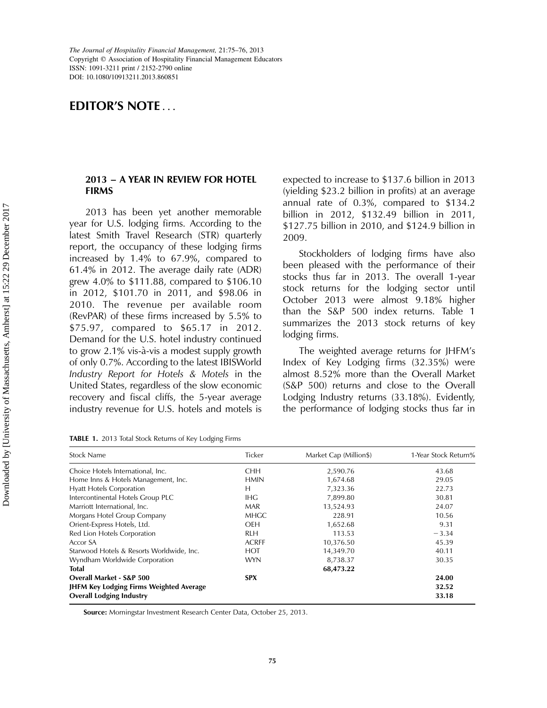### EDITOR'S NOTE ...

#### 2013 – A YEAR IN REVIEW FOR HOTEL FIRMS

2013 has been yet another memorable year for U.S. lodging firms. According to the latest Smith Travel Research (STR) quarterly report, the occupancy of these lodging firms increased by 1.4% to 67.9%, compared to 61.4% in 2012. The average daily rate (ADR) grew 4.0% to \$111.88, compared to \$106.10 in 2012, \$101.70 in 2011, and \$98.06 in 2010. The revenue per available room (RevPAR) of these firms increased by 5.5% to \$75.97, compared to \$65.17 in 2012. Demand for the U.S. hotel industry continued to grow 2.1% vis-a`-vis a modest supply growth of only 0.7%. According to the latest IBISWorld Industry Report for Hotels & Motels in the United States, regardless of the slow economic recovery and fiscal cliffs, the 5-year average industry revenue for U.S. hotels and motels is

| TABLE 1. 2013 Total Stock Returns of Key Lodging Firms |  |
|--------------------------------------------------------|--|
|--------------------------------------------------------|--|

expected to increase to \$137.6 billion in 2013 (yielding \$23.2 billion in profits) at an average annual rate of 0.3%, compared to \$134.2 billion in 2012, \$132.49 billion in 2011, \$127.75 billion in 2010, and \$124.9 billion in 2009.

Stockholders of lodging firms have also been pleased with the performance of their stocks thus far in 2013. The overall 1-year stock returns for the lodging sector until October 2013 were almost 9.18% higher than the S&P 500 index returns. Table 1 summarizes the 2013 stock returns of key lodging firms.

The weighted average returns for JHFM's Index of Key Lodging firms (32.35%) were almost 8.52% more than the Overall Market (S&P 500) returns and close to the Overall Lodging Industry returns (33.18%). Evidently, the performance of lodging stocks thus far in

| <b>Stock Name</b>                         | <b>Ticker</b> | Market Cap (Million\$) | 1-Year Stock Return% |
|-------------------------------------------|---------------|------------------------|----------------------|
| Choice Hotels International, Inc.         | <b>CHH</b>    | 2,590.76               | 43.68                |
| Home Inns & Hotels Management, Inc.       | <b>HMIN</b>   | 1,674.68               | 29.05                |
| <b>Hyatt Hotels Corporation</b>           | Н             | 7,323.36               | 22.73                |
| Intercontinental Hotels Group PLC         | IHG           | 7,899.80               | 30.81                |
| Marriott International, Inc.              | <b>MAR</b>    | 13,524.93              | 24.07                |
| Morgans Hotel Group Company               | <b>MHGC</b>   | 228.91                 | 10.56                |
| Orient-Express Hotels, Ltd.               | <b>OEH</b>    | 1,652.68               | 9.31                 |
| Red Lion Hotels Corporation               | <b>RLH</b>    | 113.53                 | $-3.34$              |
| Accor SA                                  | <b>ACRFF</b>  | 10,376.50              | 45.39                |
| Starwood Hotels & Resorts Worldwide, Inc. | <b>HOT</b>    | 14,349.70              | 40.11                |
| Wyndham Worldwide Corporation             | <b>WYN</b>    | 8,738.37               | 30.35                |
| <b>Total</b>                              | 68,473.22     |                        |                      |
| <b>Overall Market - S&amp;P 500</b>       | <b>SPX</b>    |                        | 24.00                |
| JHFM Key Lodging Firms Weighted Average   |               | 32.52                  |                      |
| <b>Overall Lodging Industry</b>           |               |                        | 33.18                |

Source: Morningstar Investment Research Center Data, October 25, 2013.